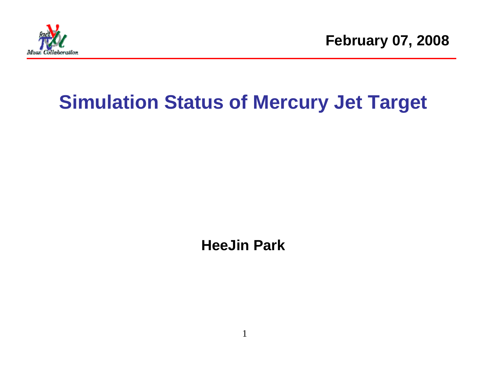

**February 07, 2008**

# **Simulation Status of Mercury Jet Target**

**HeeJin Park** 

1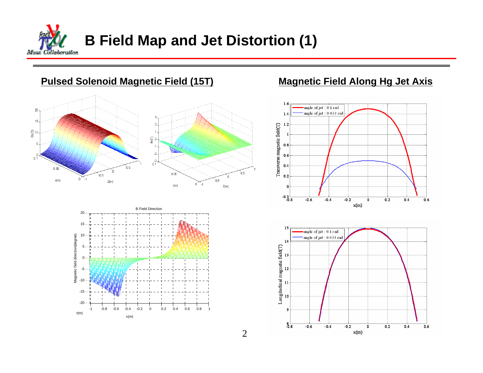

## **Pulsed Solenoid Magnetic Field (15T)** Magnetic Field Along Hg Jet Axis





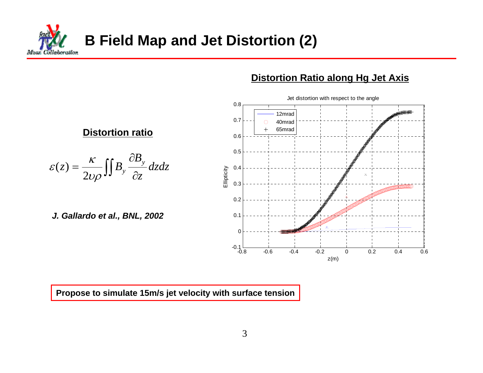**B Field Map and Jet Distortion (2)** lahorattan Afron.

#### **Distortion Ratio along Hg Jet Axis**



**Propose to simulate 15m/s jet velocity with surface tension**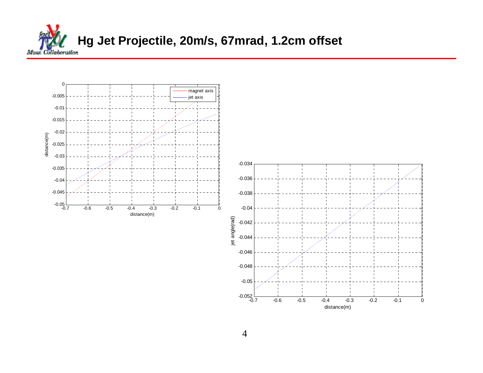

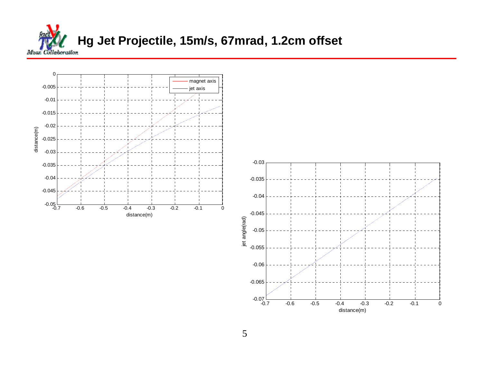



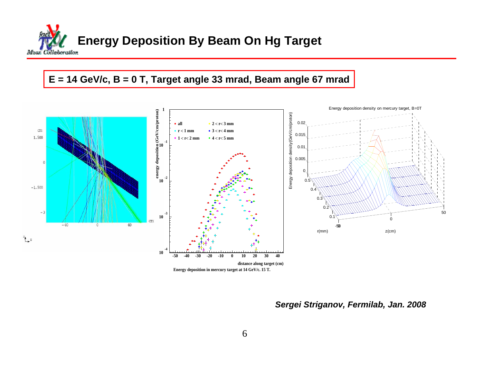

### **E = 14 GeV/c, B = 0 T, Target angle 33 mrad, Beam angle 67 mrad**



*Sergei Striganov, Fermilab, Jan. 2008*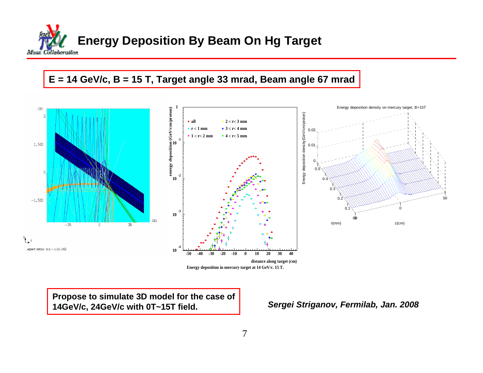

#### **E = 14 GeV/c, B = 15 T, Target angle 33 mrad, Beam angle 67 mrad**



**Energy deposition in mercury target at 14 GeV/c. 15 T.**

**Propose to simulate 3D model for the case of 14GeV/c, 24GeV/c with 0T~15T field.**

*Sergei Striganov, Fermilab, Jan. 2008*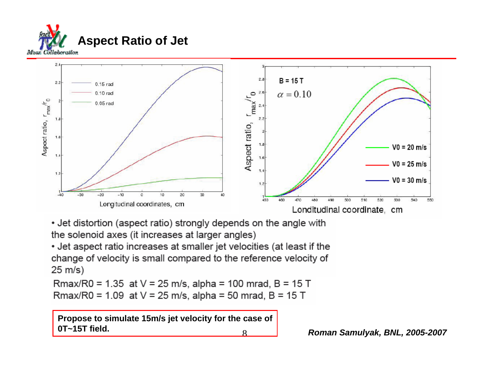



• Jet distortion (aspect ratio) strongly depends on the angle with the solenoid axes (it increases at larger angles)

• Jet aspect ratio increases at smaller jet velocities (at least if the change of velocity is small compared to the reference velocity of  $25 \text{ m/s}$ 

Rmax/R0 = 1.35 at  $V = 25$  m/s, alpha = 100 mrad, B = 15 T Rmax/R0 = 1.09 at  $V = 25$  m/s, alpha = 50 mrad, B = 15 T

8**Propose to simulate 15m/s jet velocity for the case of 0T~15T field.**

*Roman Samulyak, BNL, 2005-2007*